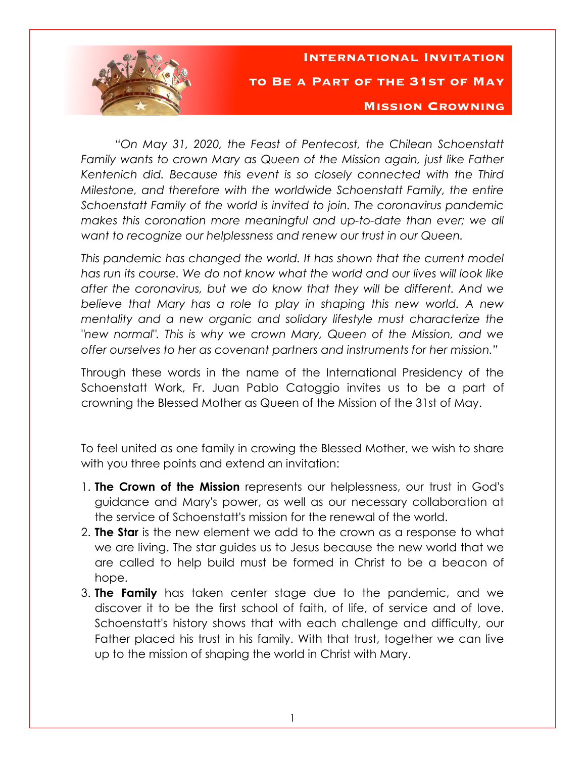

**International Invitation to Be a Part of the 31st of May Mission Crowning**

*"On May 31, 2020, the Feast of Pentecost, the Chilean Schoenstatt Family wants to crown Mary as Queen of the Mission again, just like Father Kentenich did. Because this event is so closely connected with the Third Milestone, and therefore with the worldwide Schoenstatt Family, the entire Schoenstatt Family of the world is invited to join. The coronavirus pandemic makes this coronation more meaningful and up-to-date than ever; we all want to recognize our helplessness and renew our trust in our Queen.*

*This pandemic has changed the world. It has shown that the current model has run its course. We do not know what the world and our lives will look like after the coronavirus, but we do know that they will be different. And we believe that Mary has a role to play in shaping this new world. A new mentality and a new organic and solidary lifestyle must characterize the "new normal". This is why we crown Mary, Queen of the Mission, and we offer ourselves to her as covenant partners and instruments for her mission."*

Through these words in the name of the International Presidency of the Schoenstatt Work, Fr. Juan Pablo Catoggio invites us to be a part of crowning the Blessed Mother as Queen of the Mission of the 31st of May.

To feel united as one family in crowing the Blessed Mother, we wish to share with you three points and extend an invitation:

- 1. **The Crown of the Mission** represents our helplessness, our trust in God's guidance and Mary's power, as well as our necessary collaboration at the service of Schoenstatt's mission for the renewal of the world.
- 2. **The Star** is the new element we add to the crown as a response to what we are living. The star guides us to Jesus because the new world that we are called to help build must be formed in Christ to be a beacon of hope.
- 3. **The Family** has taken center stage due to the pandemic, and we discover it to be the first school of faith, of life, of service and of love. Schoenstatt's history shows that with each challenge and difficulty, our Father placed his trust in his family. With that trust, together we can live up to the mission of shaping the world in Christ with Mary.